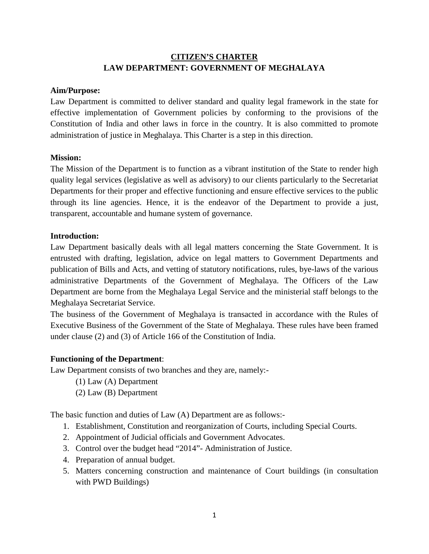## **LAW DEPARTMENT: GOVERNMENT OF MEGHALAYA CITIZEN'S CHARTER**

#### **Aim/Purpose:**

Law Department is committed to deliver standard and quality legal framework in the state for effective implementation of Government policies by conforming to the provisions of the Constitution of India and other laws in force in the country. It is also committed to promote administration of justice in Meghalaya. This Charter is a step in this direction.

#### **Mission:**

The Mission of the Department is to function as a vibrant institution of the State to render high quality legal services (legislative as well as advisory) to our clients particularly to the Secretariat Departments for their proper and effective functioning and ensure effective services to the public through its line agencies. Hence, it is the endeavor of the Department to provide a just, transparent, accountable and humane system of governance.

#### **Introduction:**

Law Department basically deals with all legal matters concerning the State Government. It is entrusted with drafting, legislation, advice on legal matters to Government Departments and publication of Bills and Acts, and vetting of statutory notifications, rules, bye-laws of the various administrative Departments of the Government of Meghalaya. The Officers of the Law Department are borne from the Meghalaya Legal Service and the ministerial staff belongs to the Meghalaya Secretariat Service.

The business of the Government of Meghalaya is transacted in accordance with the Rules of Executive Business of the Government of the State of Meghalaya. These rules have been framed under clause (2) and (3) of Article 166 of the Constitution of India.

#### **Functioning of the Department**:

Law Department consists of two branches and they are, namely:-

- (1) Law (A) Department
- (2) Law (B) Department

The basic function and duties of Law (A) Department are as follows:-

- 1. Establishment, Constitution and reorganization of Courts, including Special Courts.
- 2. Appointment of Judicial officials and Government Advocates.
- 3. Control over the budget head "2014"- Administration of Justice.
- 4. Preparation of annual budget.
- 5. Matters concerning construction and maintenance of Court buildings (in consultation with PWD Buildings)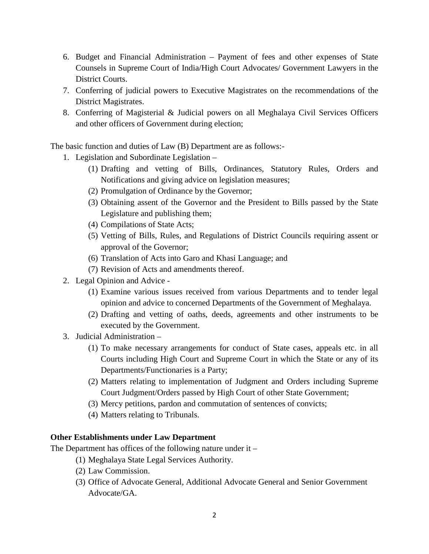- 6. Budget and Financial Administration Payment of fees and other expenses of State Counsels in Supreme Court of India/High Court Advocates/ Government Lawyers in the District Courts.
- 7. Conferring of judicial powers to Executive Magistrates on the recommendations of the District Magistrates.
- 8. Conferring of Magisterial & Judicial powers on all Meghalaya Civil Services Officers and other officers of Government during election;

The basic function and duties of Law (B) Department are as follows:-

- 1. Legislation and Subordinate Legislation
	- (1) Drafting and vetting of Bills, Ordinances, Statutory Rules, Orders and Notifications and giving advice on legislation measures;
	- (2) Promulgation of Ordinance by the Governor;
	- (3) Obtaining assent of the Governor and the President to Bills passed by the State Legislature and publishing them;
	- (4) Compilations of State Acts;
	- (5) Vetting of Bills, Rules, and Regulations of District Councils requiring assent or approval of the Governor;
	- (6) Translation of Acts into Garo and Khasi Language; and
	- (7) Revision of Acts and amendments thereof.
- 2. Legal Opinion and Advice
	- (1) Examine various issues received from various Departments and to tender legal opinion and advice to concerned Departments of the Government of Meghalaya.
	- (2) Drafting and vetting of oaths, deeds, agreements and other instruments to be executed by the Government.
- 3. Judicial Administration
	- (1) To make necessary arrangements for conduct of State cases, appeals etc. in all Courts including High Court and Supreme Court in which the State or any of its Departments/Functionaries is a Party;
	- (2) Matters relating to implementation of Judgment and Orders including Supreme Court Judgment/Orders passed by High Court of other State Government;
	- (3) Mercy petitions, pardon and commutation of sentences of convicts;
	- (4) Matters relating to Tribunals.

#### **Other Establishments under Law Department**

The Department has offices of the following nature under it –

- (1) Meghalaya State Legal Services Authority.
- (2) Law Commission.
- (3) Office of Advocate General, Additional Advocate General and Senior Government Advocate/GA.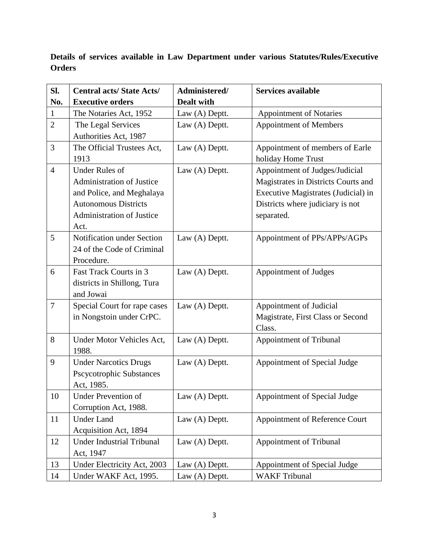**Details of services available in Law Department under various Statutes/Rules/Executive Orders**

| Sl.            | <b>Central acts/State Acts/</b>               | Administered/     | <b>Services available</b>           |
|----------------|-----------------------------------------------|-------------------|-------------------------------------|
| No.            | <b>Executive orders</b>                       | <b>Dealt with</b> |                                     |
| $\mathbf{1}$   | The Notaries Act, 1952                        | Law (A) Deptt.    | <b>Appointment of Notaries</b>      |
| $\overline{2}$ | The Legal Services                            | Law (A) Deptt.    | <b>Appointment of Members</b>       |
|                | Authorities Act, 1987                         |                   |                                     |
| 3              | The Official Trustees Act,                    | Law (A) Deptt.    | Appointment of members of Earle     |
|                | 1913                                          |                   | holiday Home Trust                  |
| $\overline{4}$ | <b>Under Rules of</b>                         | Law (A) Deptt.    | Appointment of Judges/Judicial      |
|                | Administration of Justice                     |                   | Magistrates in Districts Courts and |
|                | and Police, and Meghalaya                     |                   | Executive Magistrates (Judicial) in |
|                | <b>Autonomous Districts</b>                   |                   | Districts where judiciary is not    |
|                | Administration of Justice                     |                   | separated.                          |
|                | Act.                                          |                   |                                     |
| 5              | Notification under Section                    | Law (A) Deptt.    | Appointment of PPs/APPs/AGPs        |
|                | 24 of the Code of Criminal                    |                   |                                     |
|                | Procedure.                                    |                   |                                     |
| 6              | Fast Track Courts in 3                        | Law (A) Deptt.    | Appointment of Judges               |
|                | districts in Shillong, Tura                   |                   |                                     |
|                | and Jowai                                     |                   |                                     |
| $\tau$         | Special Court for rape cases                  | Law (A) Deptt.    | Appointment of Judicial             |
|                | in Nongstoin under CrPC.                      |                   | Magistrate, First Class or Second   |
|                |                                               |                   | Class.                              |
| 8              | Under Motor Vehicles Act,                     | Law (A) Deptt.    | <b>Appointment of Tribunal</b>      |
| 9              | 1988.                                         |                   |                                     |
|                | <b>Under Narcotics Drugs</b>                  | Law (A) Deptt.    | Appointment of Special Judge        |
|                | <b>Pscycotrophic Substances</b><br>Act, 1985. |                   |                                     |
| 10             | Under Prevention of                           | Law (A) Deptt.    | Appointment of Special Judge        |
|                | Corruption Act, 1988.                         |                   |                                     |
| 11             | <b>Under Land</b>                             | Law (A) Deptt.    | Appointment of Reference Court      |
|                | Acquisition Act, 1894                         |                   |                                     |
| 12             | <b>Under Industrial Tribunal</b>              | Law (A) Deptt.    | Appointment of Tribunal             |
|                | Act, 1947                                     |                   |                                     |
| 13             | Under Electricity Act, 2003                   | Law (A) Deptt.    | Appointment of Special Judge        |
| 14             | Under WAKF Act, 1995.                         | Law (A) Deptt.    | <b>WAKF Tribunal</b>                |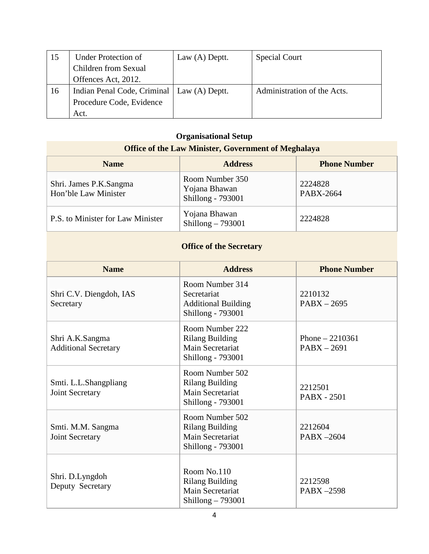| 15 | <b>Under Protection of</b>                   | Law $(A)$ Deptt. | <b>Special Court</b>        |
|----|----------------------------------------------|------------------|-----------------------------|
|    | Children from Sexual                         |                  |                             |
|    | Offences Act, 2012.                          |                  |                             |
| 16 | Indian Penal Code, Criminal   Law (A) Deptt. |                  | Administration of the Acts. |
|    | Procedure Code, Evidence                     |                  |                             |
|    | Act.                                         |                  |                             |

# **Organisational Setup**

| <b>Office of the Law Minister, Government of Meghalaya</b> |                                                       |                      |  |  |  |
|------------------------------------------------------------|-------------------------------------------------------|----------------------|--|--|--|
| <b>Name</b>                                                | <b>Address</b>                                        | <b>Phone Number</b>  |  |  |  |
| Shri. James P.K.Sangma<br>Hon'ble Law Minister             | Room Number 350<br>Yojana Bhawan<br>Shillong - 793001 | 2224828<br>PABX-2664 |  |  |  |
| P.S. to Minister for Law Minister                          | Yojana Bhawan<br>Shillong $-793001$                   | 2224828              |  |  |  |
|                                                            | <b>Office of the Secretary</b>                        |                      |  |  |  |

### **Office of the Secretary**

| <b>Name</b>                                    | <b>Address</b>                                                                            | <b>Phone Number</b>               |
|------------------------------------------------|-------------------------------------------------------------------------------------------|-----------------------------------|
| Shri C.V. Diengdoh, IAS<br>Secretary           | Room Number 314<br>Secretariat<br><b>Additional Building</b><br>Shillong - 793001         | 2210132<br>$PABX - 2695$          |
| Shri A.K.Sangma<br><b>Additional Secretary</b> | Room Number 222<br><b>Rilang Building</b><br>Main Secretariat<br><b>Shillong - 793001</b> | Phone $-2210361$<br>$PABX - 2691$ |
| Smti. L.L.Shangpliang<br>Joint Secretary       | Room Number 502<br><b>Rilang Building</b><br>Main Secretariat<br><b>Shillong - 793001</b> | 2212501<br><b>PABX - 2501</b>     |
| Smti. M.M. Sangma<br>Joint Secretary           | Room Number 502<br><b>Rilang Building</b><br>Main Secretariat<br>Shillong - 793001        | 2212604<br>$PABX - 2604$          |
| Shri. D.Lyngdoh<br>Deputy Secretary            | Room No.110<br><b>Rilang Building</b><br>Main Secretariat<br>Shillong $-793001$           | 2212598<br>PABX-2598              |